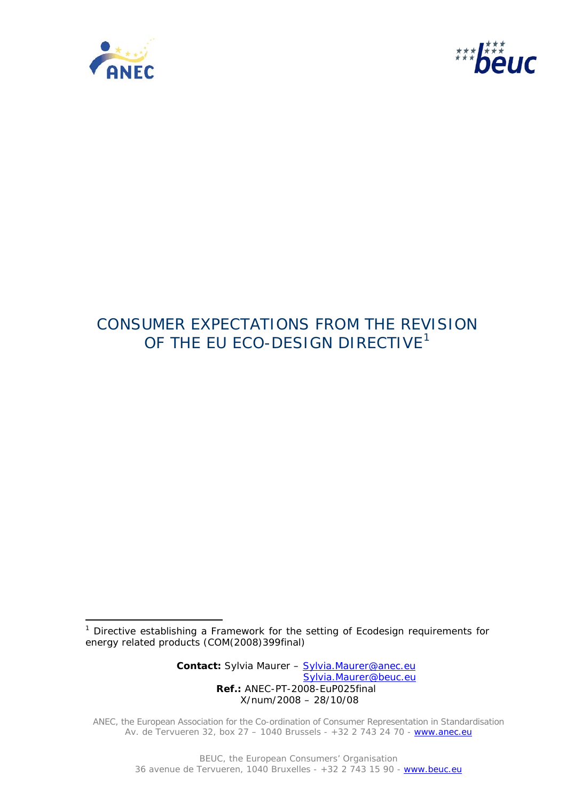

j.



# CONSUMER EXPECTATIONS FROM THE REVISION OF THE EU ECO-DESIGN DIRECTIVE $^1$  $^1$

 **Contact:** Sylvia Maurer – Sylvia.Maurer@anec.eu Sylvia.Maurer@beuc.eu  **Ref.:** ANEC-PT-2008-EuP025final X/num/2008 – 28/10/08

ANEC, the European Association for the Co-ordination of Consumer Representation in Standardisation Av. de Tervueren 32, box 27 - 1040 Brussels - +32 2 743 24 70 - www.anec.eu

<span id="page-0-0"></span><sup>&</sup>lt;sup>1</sup> Directive establishing a Framework for the setting of Ecodesign requirements for energy related products (COM(2008)399final)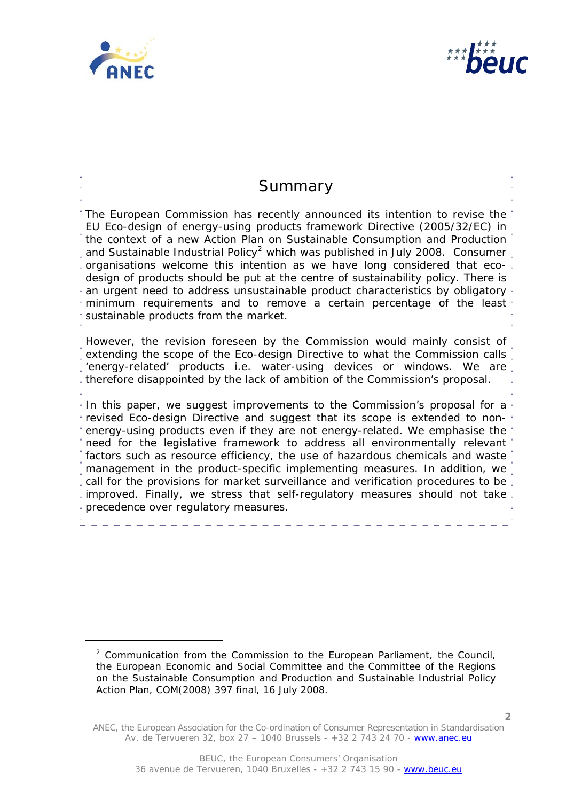

<span id="page-1-0"></span>l



**2**

<sup>&</sup>lt;sup>2</sup> Communication from the Commission to the European Parliament, the Council, the European Economic and Social Committee and the Committee of the Regions on the Sustainable Consumption and Production and Sustainable Industrial Policy Action Plan, COM(2008) 397 final, 16 July 2008.

ANEC, the European Association for the Co-ordination of Consumer Representation in Standardisation Av. de Tervueren 32, box 27 – 1040 Brussels - +32 2 743 24 70 - www.anec.eu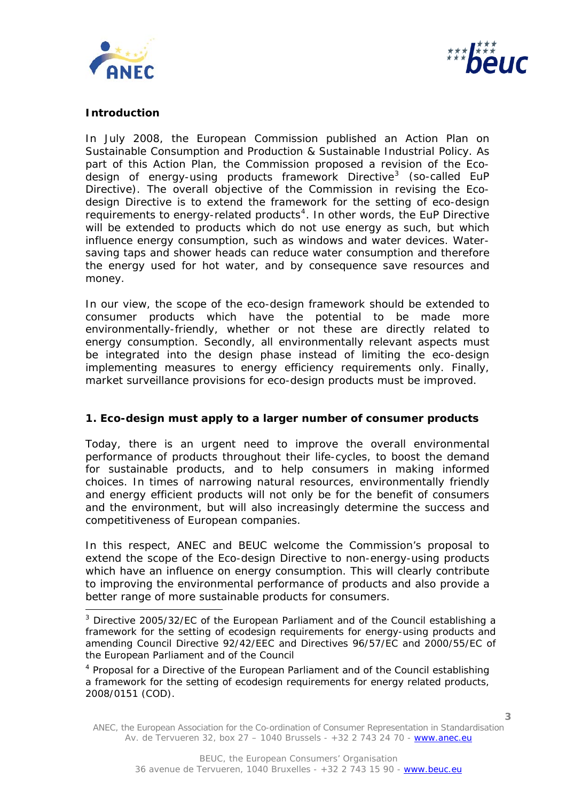



# **Introduction**

ł

In July 2008, the European Commission published an Action Plan on Sustainable Consumption and Production & Sustainable Industrial Policy. As part of this Action Plan, the Commission proposed a revision of the Eco-design of energy-using products framework Directive<sup>[3](#page-2-0)</sup> (so-called EuP Directive). The overall objective of the Commission in revising the Ecodesign Directive is to extend the framework for the setting of eco-design requirements to energy-related products<sup>[4](#page-2-1)</sup>. In other words, the EuP Directive will be extended to products which do not use energy as such, but which influence energy consumption, such as windows and water devices. Watersaving taps and shower heads can reduce water consumption and therefore the energy used for hot water, and by consequence save resources and money.

In our view, the scope of the eco-design framework should be extended to consumer products which have the potential to be made more environmentally-friendly, whether or not these are directly related to energy consumption. Secondly, all environmentally relevant aspects must be integrated into the design phase instead of limiting the eco-design implementing measures to energy efficiency requirements only. Finally, market surveillance provisions for eco-design products must be improved.

# **1. Eco-design must apply to a larger number of consumer products**

Today, there is an urgent need to improve the overall environmental performance of products throughout their life-cycles, to boost the demand for sustainable products, and to help consumers in making informed choices. In times of narrowing natural resources, environmentally friendly and energy efficient products will not only be for the benefit of consumers and the environment, but will also increasingly determine the success and competitiveness of European companies.

In this respect, ANEC and BEUC welcome the Commission's proposal to extend the scope of the Eco-design Directive to non-energy-using products which have an influence on energy consumption. This will clearly contribute to improving the environmental performance of products and also provide a better range of more sustainable products for consumers.

<span id="page-2-0"></span><sup>&</sup>lt;sup>3</sup> Directive 2005/32/EC of the European Parliament and of the Council establishing a framework for the setting of ecodesign requirements for energy-using products and amending Council Directive 92/42/EEC and Directives 96/57/EC and 2000/55/EC of the European Parliament and of the Council

<span id="page-2-1"></span><sup>&</sup>lt;sup>4</sup> Proposal for a Directive of the European Parliament and of the Council establishing a framework for the setting of ecodesign requirements for energy related products, 2008/0151 (COD).

ANEC, the European Association for the Co-ordination of Consumer Representation in Standardisation Av. de Tervueren 32, box 27 – 1040 Brussels - +32 2 743 24 70 - www.anec.eu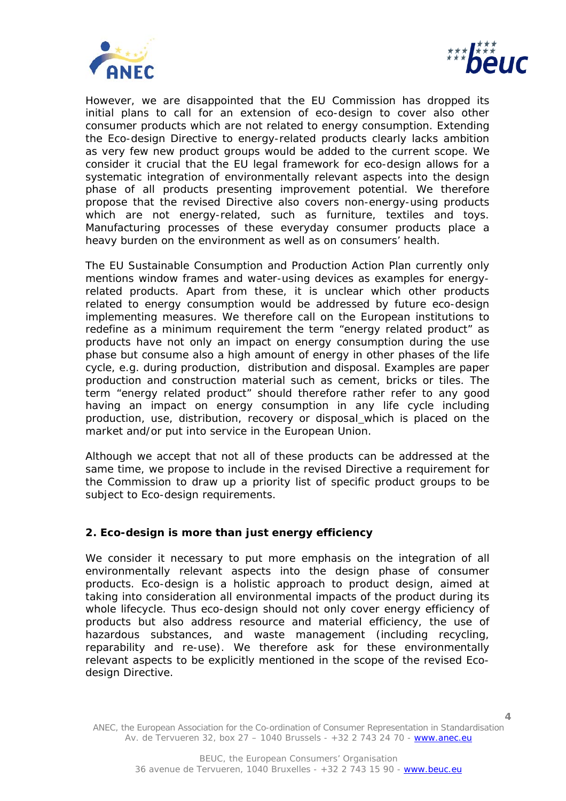



**4**

However, we are disappointed that the EU Commission has dropped its initial plans to call for an extension of eco-design to cover also other consumer products which are not related to energy consumption. Extending the Eco-design Directive to energy-related products clearly lacks ambition as very few new product groups would be added to the current scope. We consider it crucial that the EU legal framework for eco-design allows for a systematic integration of environmentally relevant aspects into the design phase of *all* products presenting improvement potential. We therefore propose that the revised Directive also covers non-energy-using products which are not energy-related, such as furniture, textiles and toys. Manufacturing processes of these everyday consumer products place a heavy burden on the environment as well as on consumers' health.

The EU Sustainable Consumption and Production Action Plan currently only mentions window frames and water-using devices as examples for energyrelated products. Apart from these, it is unclear which other products related to energy consumption would be addressed by future eco-design implementing measures. We therefore call on the European institutions to redefine as a minimum requirement the term "energy related product" as products have not only an impact on energy consumption during the use phase but consume also a high amount of energy in other phases of the life cycle, e.g. during production, distribution and disposal. Examples are paper production and construction material such as cement, bricks or tiles. The term "energy related product" should therefore rather refer to any good having an impact on energy consumption in any life cycle including production, use, distribution, recovery or disposal which is placed on the market and/or put into service in the European Union.

Although we accept that not all of these products can be addressed at the same time, we propose to include in the revised Directive a requirement for the Commission to draw up a priority list of specific product groups to be subject to Eco-design requirements.

# **2. Eco-design is more than just energy efficiency**

We consider it necessary to put more emphasis on the integration of all environmentally relevant aspects into the design phase of consumer products. Eco-design is a holistic approach to product design, aimed at taking into consideration all environmental impacts of the product during its whole lifecycle. Thus eco-design should not only cover energy efficiency of products but also address resource and material efficiency, the use of hazardous substances, and waste management (including recycling, reparability and re-use). We therefore ask for these environmentally relevant aspects to be explicitly mentioned in the scope of the revised Ecodesign Directive.

ANEC, the European Association for the Co-ordination of Consumer Representation in Standardisation Av. de Tervueren 32, box 27 – 1040 Brussels - +32 2 743 24 70 - www.anec.eu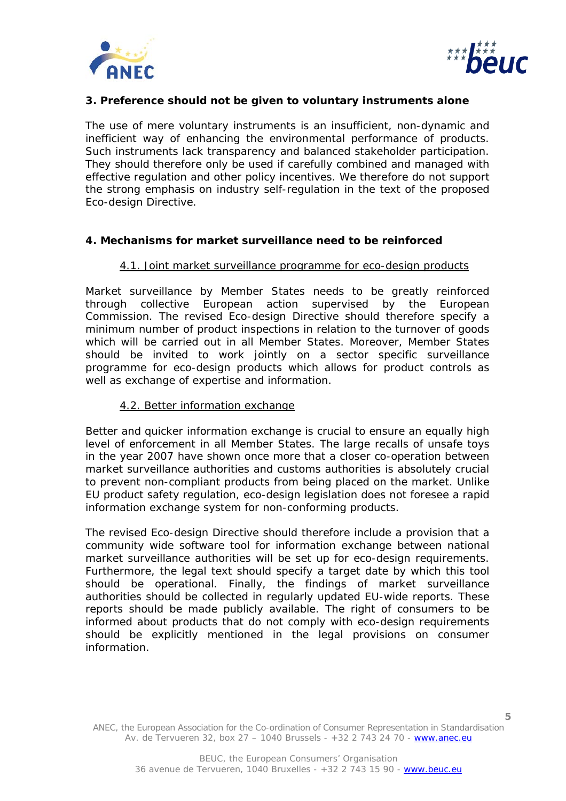



# **3. Preference should not be given to voluntary instruments alone**

The use of mere voluntary instruments is an insufficient, non-dynamic and inefficient way of enhancing the environmental performance of products. Such instruments lack transparency and balanced stakeholder participation. They should therefore only be used if carefully combined and managed with effective regulation and other policy incentives. We therefore do not support the strong emphasis on industry self-regulation in the text of the proposed Eco-design Directive.

#### **4. Mechanisms for market surveillance need to be reinforced**

#### 4.1. Joint market surveillance programme for eco-design products

Market surveillance by Member States needs to be greatly reinforced through collective European action supervised by the European Commission. The revised Eco-design Directive should therefore specify a minimum number of product inspections in relation to the turnover of goods which will be carried out in all Member States. Moreover, Member States should be invited to work jointly on a sector specific surveillance programme for eco-design products which allows for product controls as well as exchange of expertise and information.

#### 4.2. Better information exchange

Better and quicker information exchange is crucial to ensure an equally high level of enforcement in all Member States. The large recalls of unsafe toys in the year 2007 have shown once more that a closer co-operation between market surveillance authorities and customs authorities is absolutely crucial to prevent non-compliant products from being placed on the market. Unlike EU product safety regulation, eco-design legislation does not foresee a rapid information exchange system for non-conforming products.

The revised Eco-design Directive should therefore include a provision that a community wide software tool for information exchange between national market surveillance authorities will be set up for eco-design requirements. Furthermore, the legal text should specify a target date by which this tool should be operational. Finally, the findings of market surveillance authorities should be collected in regularly updated EU-wide reports. These reports should be made publicly available. The right of consumers to be informed about products that do not comply with eco-design requirements should be explicitly mentioned in the legal provisions on consumer information.

ANEC, the European Association for the Co-ordination of Consumer Representation in Standardisation Av. de Tervueren 32, box 27 – 1040 Brussels - +32 2 743 24 70 - www.anec.eu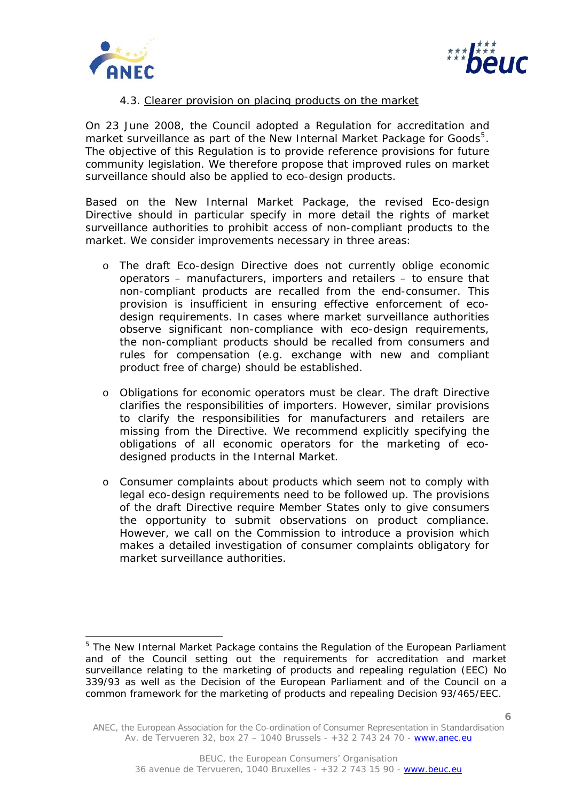



# 4.3. Clearer provision on placing products on the market

On 23 June 2008, the Council adopted a Regulation for accreditation and market surveillance as part of the New Internal Market Package for Goods<sup>[5](#page-5-0)</sup>. The objective of this Regulation is to provide reference provisions for future community legislation. We therefore propose that improved rules on market surveillance should also be applied to eco-design products.

Based on the New Internal Market Package, the revised Eco-design Directive should in particular specify in more detail the rights of market surveillance authorities to prohibit access of non-compliant products to the market. We consider improvements necessary in three areas:

- o The draft Eco-design Directive does not currently oblige economic operators – manufacturers, importers and retailers – to ensure that non-compliant products are recalled from the end-consumer. This provision is insufficient in ensuring effective enforcement of ecodesign requirements. In cases where market surveillance authorities observe significant non-compliance with eco-design requirements, the non-compliant products should be recalled from consumers and rules for compensation (e.g. exchange with new and compliant product free of charge) should be established.
- o Obligations for economic operators must be clear. The draft Directive clarifies the responsibilities of importers. However, similar provisions to clarify the responsibilities for manufacturers and retailers are missing from the Directive. We recommend explicitly specifying the obligations of all economic operators for the marketing of ecodesigned products in the Internal Market.
- o Consumer complaints about products which seem not to comply with legal eco-design requirements need to be followed up. The provisions of the draft Directive require Member States only to give consumers the opportunity to submit observations on product compliance. However, we call on the Commission to introduce a provision which makes a detailed investigation of consumer complaints obligatory for market surveillance authorities.

<span id="page-5-0"></span>ł <sup>5</sup> The New Internal Market Package contains the Regulation of the European Parliament and of the Council setting out the requirements for accreditation and market surveillance relating to the marketing of products and repealing regulation (EEC) No 339/93 as well as the Decision of the European Parliament and of the Council on a common framework for the marketing of products and repealing Decision 93/465/EEC.

ANEC, the European Association for the Co-ordination of Consumer Representation in Standardisation Av. de Tervueren 32, box 27 – 1040 Brussels - +32 2 743 24 70 - www.anec.eu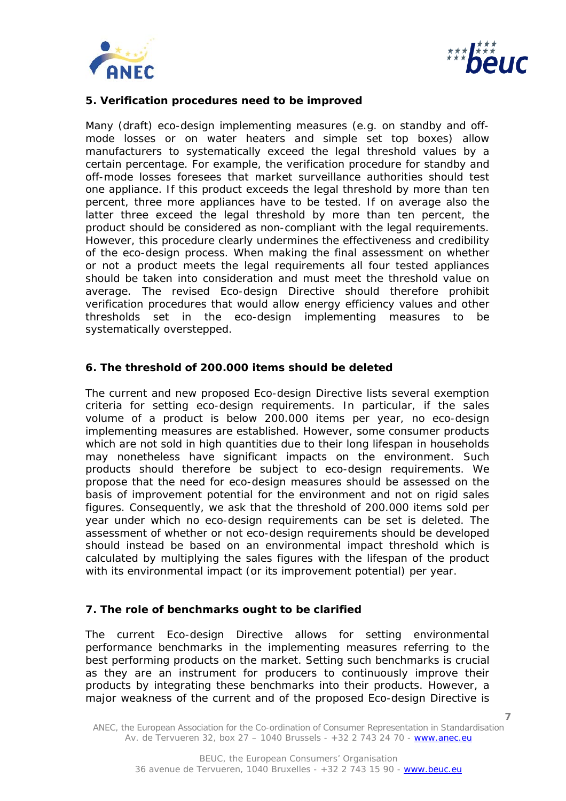



# **5. Verification procedures need to be improved**

Many (draft) eco-design implementing measures (e.g. on standby and offmode losses or on water heaters and simple set top boxes) allow manufacturers to systematically exceed the legal threshold values by a certain percentage. For example, the verification procedure for standby and off-mode losses foresees that market surveillance authorities should test one appliance. If this product exceeds the legal threshold by more than ten percent, three more appliances have to be tested. If on average also the latter three exceed the legal threshold by more than ten percent, the product should be considered as non-compliant with the legal requirements. However, this procedure clearly undermines the effectiveness and credibility of the eco-design process. When making the final assessment on whether or not a product meets the legal requirements all four tested appliances should be taken into consideration and must meet the threshold value on average. The revised Eco-design Directive should therefore prohibit verification procedures that would allow energy efficiency values and other thresholds set in the eco-design implementing measures to be systematically overstepped.

# **6. The threshold of 200.000 items should be deleted**

The current and new proposed Eco-design Directive lists several exemption criteria for setting eco-design requirements. In particular, if the sales volume of a product is below 200.000 items per year, no eco-design implementing measures are established. However, some consumer products which are not sold in high quantities due to their long lifespan in households may nonetheless have significant impacts on the environment. Such products should therefore be subject to eco-design requirements. We propose that the need for eco-design measures should be assessed on the basis of improvement potential for the environment and not on rigid sales figures. Consequently, we ask that the threshold of 200.000 items sold per year under which no eco-design requirements can be set is deleted. The assessment of whether or not eco-design requirements should be developed should instead be based on an environmental impact threshold which is calculated by multiplying the sales figures with the lifespan of the product with its environmental impact (or its improvement potential) per year.

# **7. The role of benchmarks ought to be clarified**

The current Eco-design Directive allows for setting environmental performance benchmarks in the implementing measures referring to the best performing products on the market. Setting such benchmarks is crucial as they are an instrument for producers to continuously improve their products by integrating these benchmarks into their products. However, a major weakness of the current and of the proposed Eco-design Directive is

ANEC, the European Association for the Co-ordination of Consumer Representation in Standardisation Av. de Tervueren 32, box 27 – 1040 Brussels - +32 2 743 24 70 - www.anec.eu